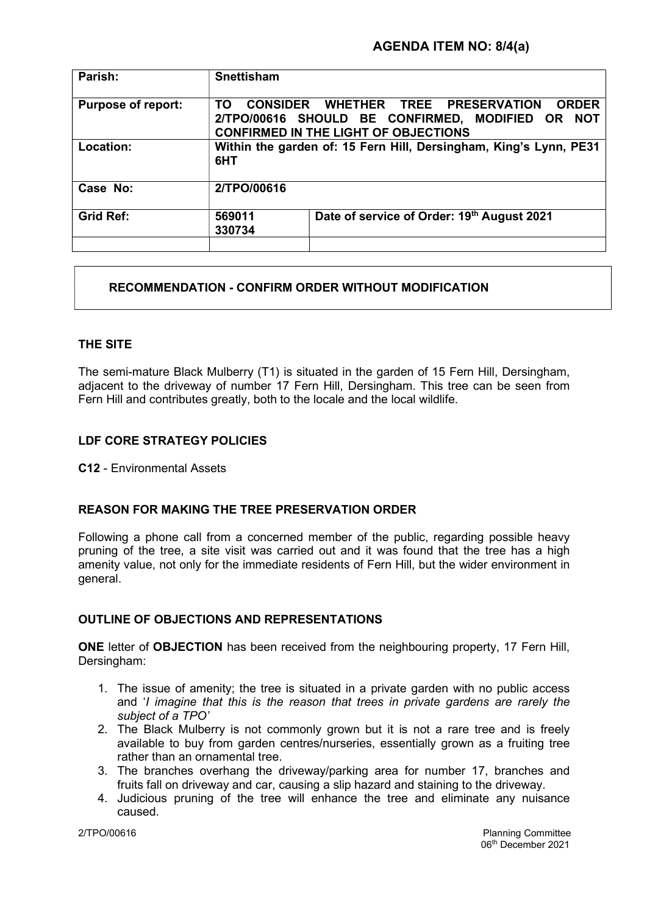| Parish:                   | <b>Snettisham</b>                                                                                                                                           |                                            |
|---------------------------|-------------------------------------------------------------------------------------------------------------------------------------------------------------|--------------------------------------------|
| <b>Purpose of report:</b> | CONSIDER WHETHER TREE PRESERVATION<br><b>ORDER</b><br>TΩ<br>2/TPO/00616 SHOULD BE CONFIRMED, MODIFIED OR NOT<br><b>CONFIRMED IN THE LIGHT OF OBJECTIONS</b> |                                            |
| Location:                 | Within the garden of: 15 Fern Hill, Dersingham, King's Lynn, PE31<br>6HT                                                                                    |                                            |
| Case No:                  | 2/TPO/00616                                                                                                                                                 |                                            |
| <b>Grid Ref:</b>          | 569011<br>330734                                                                                                                                            | Date of service of Order: 19th August 2021 |

# RECOMMENDATION - CONFIRM ORDER WITHOUT MODIFICATION

# THE SITE

The semi-mature Black Mulberry (T1) is situated in the garden of 15 Fern Hill, Dersingham, adjacent to the driveway of number 17 Fern Hill, Dersingham. This tree can be seen from Fern Hill and contributes greatly, both to the locale and the local wildlife.

# LDF CORE STRATEGY POLICIES

C12 - Environmental Assets

## REASON FOR MAKING THE TREE PRESERVATION ORDER

Following a phone call from a concerned member of the public, regarding possible heavy pruning of the tree, a site visit was carried out and it was found that the tree has a high amenity value, not only for the immediate residents of Fern Hill, but the wider environment in general.

## OUTLINE OF OBJECTIONS AND REPRESENTATIONS

ONE letter of OBJECTION has been received from the neighbouring property, 17 Fern Hill, Dersingham:

- 1. The issue of amenity; the tree is situated in a private garden with no public access and 'I imagine that this is the reason that trees in private gardens are rarely the subject of a TPO'
- 2. The Black Mulberry is not commonly grown but it is not a rare tree and is freely available to buy from garden centres/nurseries, essentially grown as a fruiting tree rather than an ornamental tree.
- 3. The branches overhang the driveway/parking area for number 17, branches and fruits fall on driveway and car, causing a slip hazard and staining to the driveway.
- 4. Judicious pruning of the tree will enhance the tree and eliminate any nuisance caused.